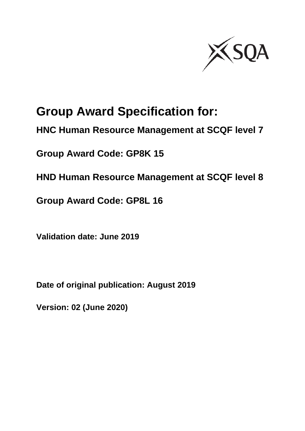

# **Group Award Specification for:**

**HNC Human Resource Management at SCQF level 7**

**Group Award Code: GP8K 15**

**HND Human Resource Management at SCQF level 8**

**Group Award Code: GP8L 16**

**Validation date: June 2019**

**Date of original publication: August 2019**

**Version: 02 (June 2020)**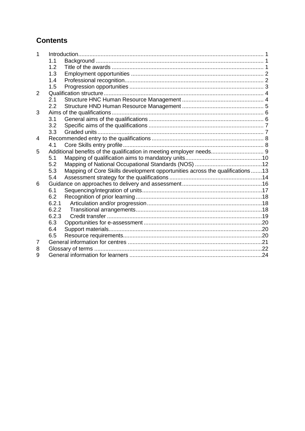## **Contents**

| 1 |       |                                                                              |  |
|---|-------|------------------------------------------------------------------------------|--|
|   | 1.1   |                                                                              |  |
|   | 1.2   |                                                                              |  |
|   | 1.3   |                                                                              |  |
|   | 1.4   |                                                                              |  |
|   | 1.5   |                                                                              |  |
| 2 |       |                                                                              |  |
|   | 2.1   |                                                                              |  |
|   | 2.2   |                                                                              |  |
| 3 |       |                                                                              |  |
|   | 3.1   |                                                                              |  |
|   | 3.2   |                                                                              |  |
|   | 3.3   |                                                                              |  |
| 4 |       |                                                                              |  |
|   | 4.1   |                                                                              |  |
| 5 |       | Additional benefits of the qualification in meeting employer needs 9         |  |
|   | 5.1   |                                                                              |  |
|   | 5.2   |                                                                              |  |
|   | 5.3   | Mapping of Core Skills development opportunities across the qualifications13 |  |
|   | 5.4   |                                                                              |  |
| 6 |       |                                                                              |  |
|   | 6.1   |                                                                              |  |
|   | 6.2   |                                                                              |  |
|   | 6.2.1 |                                                                              |  |
|   | 6.2.2 |                                                                              |  |
|   | 6.2.3 |                                                                              |  |
|   | 6.3   |                                                                              |  |
|   | 6.4   |                                                                              |  |
|   | 6.5   |                                                                              |  |
| 7 |       |                                                                              |  |
| 8 |       |                                                                              |  |
| 9 |       |                                                                              |  |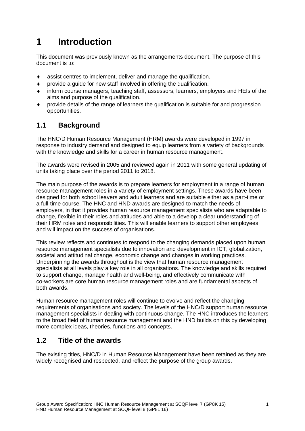# <span id="page-2-0"></span>**1 Introduction**

This document was previously known as the arrangements document. The purpose of this document is to:

- assist centres to implement, deliver and manage the qualification.
- provide a guide for new staff involved in offering the qualification.
- inform course managers, teaching staff, assessors, learners, employers and HEIs of the aims and purpose of the qualification.
- provide details of the range of learners the qualification is suitable for and progression opportunities.

### <span id="page-2-1"></span>**1.1 Background**

The HNC/D Human Resource Management (HRM) awards were developed in 1997 in response to industry demand and designed to equip learners from a variety of backgrounds with the knowledge and skills for a career in human resource management.

The awards were revised in 2005 and reviewed again in 2011 with some general updating of units taking place over the period 2011 to 2018.

The main purpose of the awards is to prepare learners for employment in a range of human resource management roles in a variety of employment settings. These awards have been designed for both school leavers and adult learners and are suitable either as a part-time or a full-time course. The HNC and HND awards are designed to match the needs of employers, in that it provides human resource management specialists who are adaptable to change, flexible in their roles and attitudes and able to a develop a clear understanding of their HRM roles and responsibilities. This will enable learners to support other employees and will impact on the success of organisations.

This review reflects and continues to respond to the changing demands placed upon human resource management specialists due to innovation and development in ICT, globalization, societal and attitudinal change, economic change and changes in working practices. Underpinning the awards throughout is the view that human resource management specialists at all levels play a key role in all organisations. The knowledge and skills required to support change, manage health and well-being, and effectively communicate with co-workers are core human resource management roles and are fundamental aspects of both awards.

Human resource management roles will continue to evolve and reflect the changing requirements of organisations and society. The levels of the HNC/D support human resource management specialists in dealing with continuous change. The HNC introduces the learners to the broad field of human resource management and the HND builds on this by developing more complex ideas, theories, functions and concepts.

### <span id="page-2-2"></span>**1.2 Title of the awards**

The existing titles, HNC/D in Human Resource Management have been retained as they are widely recognised and respected, and reflect the purpose of the group awards.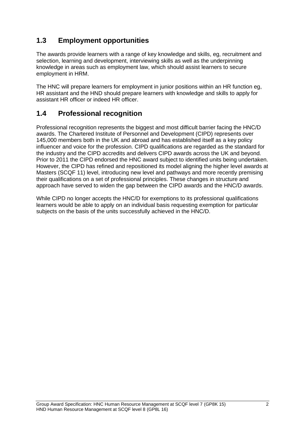## <span id="page-3-0"></span>**1.3 Employment opportunities**

The awards provide learners with a range of key knowledge and skills, eg, recruitment and selection, learning and development, interviewing skills as well as the underpinning knowledge in areas such as employment law, which should assist learners to secure employment in HRM.

The HNC will prepare learners for employment in junior positions within an HR function eg, HR assistant and the HND should prepare learners with knowledge and skills to apply for assistant HR officer or indeed HR officer.

## <span id="page-3-1"></span>**1.4 Professional recognition**

Professional recognition represents the biggest and most difficult barrier facing the HNC/D awards. The Chartered Institute of Personnel and Development (CIPD) represents over 145,000 members both in the UK and abroad and has established itself as a key policy influencer and voice for the profession. CIPD qualifications are regarded as the standard for the industry and the CIPD accredits and delivers CIPD awards across the UK and beyond. Prior to 2011 the CIPD endorsed the HNC award subject to identified units being undertaken. However, the CIPD has refined and repositioned its model aligning the higher level awards at Masters (SCQF 11) level, introducing new level and pathways and more recently premising their qualifications on a set of professional principles. These changes in structure and approach have served to widen the gap between the CIPD awards and the HNC/D awards.

While CIPD no longer accepts the HNC/D for exemptions to its professional qualifications learners would be able to apply on an individual basis requesting exemption for particular subjects on the basis of the units successfully achieved in the HNC/D.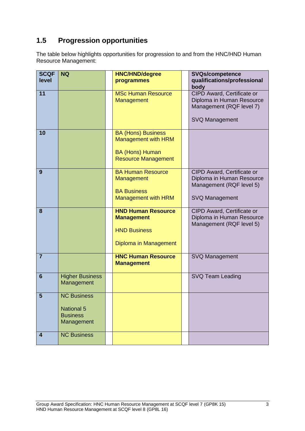# <span id="page-4-0"></span>**1.5 Progression opportunities**

The table below highlights opportunities for progression to and from the HNC/HND Human Resource Management:

| <b>SCQF</b><br>level | <b>NQ</b>                                                                | <b>HNC/HND/degree</b><br>programmes                                                                             | <b>SVQs/competence</b><br>qualifications/professional                                                                |
|----------------------|--------------------------------------------------------------------------|-----------------------------------------------------------------------------------------------------------------|----------------------------------------------------------------------------------------------------------------------|
| 11                   |                                                                          | <b>MSc Human Resource</b><br>Management                                                                         | body<br>CIPD Award, Certificate or<br>Diploma in Human Resource<br>Management (RQF level 7)<br><b>SVQ Management</b> |
| 10                   |                                                                          | <b>BA (Hons) Business</b><br><b>Management with HRM</b><br><b>BA (Hons) Human</b><br><b>Resource Management</b> |                                                                                                                      |
| 9                    |                                                                          | <b>BA Human Resource</b><br>Management<br><b>BA Business</b><br><b>Management with HRM</b>                      | CIPD Award, Certificate or<br>Diploma in Human Resource<br>Management (RQF level 5)<br><b>SVQ Management</b>         |
| 8                    |                                                                          | <b>HND Human Resource</b><br><b>Management</b><br><b>HND Business</b><br>Diploma in Management                  | CIPD Award, Certificate or<br>Diploma in Human Resource<br>Management (RQF level 5)                                  |
| $\overline{7}$       |                                                                          | <b>HNC Human Resource</b><br><b>Management</b>                                                                  | <b>SVQ Management</b>                                                                                                |
| 6                    | <b>Higher Business</b><br>Management                                     |                                                                                                                 | SVQ Team Leading                                                                                                     |
| 5                    | <b>NC Business</b><br><b>National 5</b><br><b>Business</b><br>Management |                                                                                                                 |                                                                                                                      |
| 4                    | <b>NC Business</b>                                                       |                                                                                                                 |                                                                                                                      |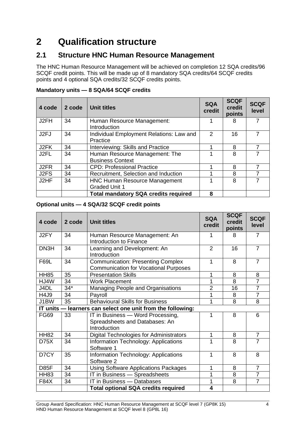# <span id="page-5-0"></span>**2 Qualification structure**

### <span id="page-5-1"></span>**2.1 Structure HNC Human Resource Management**

The HNC Human Resource Management will be achieved on completion 12 SQA credits/96 SCQF credit points. This will be made up of 8 mandatory SQA credits/64 SCQF credits points and 4 optional SQA credits/32 SCQF credits points.

| 4 code | 2 code | <b>Unit titles</b>                                           | <b>SQA</b><br>credit | <b>SCQF</b><br>credit<br>points | <b>SCQF</b><br>level |
|--------|--------|--------------------------------------------------------------|----------------------|---------------------------------|----------------------|
| J2FH   | 34     | Human Resource Management:<br>Introduction                   |                      | 8                               |                      |
| J2FJ   | 34     | Individual Employment Relations: Law and<br>Practice         | $\mathcal{P}$        | 16                              |                      |
| J2FK   | 34     | Interviewing: Skills and Practice                            |                      | 8                               |                      |
| J2FL   | 34     | Human Resource Management: The<br><b>Business Context</b>    |                      | 8                               |                      |
| J2FR   | 34     | <b>CPD: Professional Practice</b>                            |                      | 8                               |                      |
| J2FS   | 34     | Recruitment, Selection and Induction                         |                      | 8                               |                      |
| J2HF   | 34     | <b>HNC Human Resource Management</b><br><b>Graded Unit 1</b> |                      | 8                               |                      |
|        |        | <b>Total mandatory SQA credits required</b>                  | 8                    |                                 |                      |

### **Mandatory units — 8 SQA/64 SCQF credits**

### **Optional units — 4 SQA/32 SCQF credit points**

| 4 code      | 2 code | <b>Unit titles</b>                                                                       | <b>SQA</b><br>credit    | <b>SCQF</b><br>credit<br>points | <b>SCQF</b><br>level |
|-------------|--------|------------------------------------------------------------------------------------------|-------------------------|---------------------------------|----------------------|
| J2FY        | 34     | Human Resource Management: An<br>Introduction to Finance                                 |                         | 8                               | 7                    |
| DN3H        | 34     | Learning and Development: An<br>Introduction                                             | $\overline{2}$          | 16                              | $\overline{7}$       |
| <b>F69L</b> | 34     | <b>Communication: Presenting Complex</b><br><b>Communication for Vocational Purposes</b> | 1                       | 8                               | $\overline{7}$       |
| <b>HH85</b> | 35     | <b>Presentation Skills</b>                                                               | 1                       | 8                               | 8                    |
| HJ4W        | 34     | <b>Work Placement</b>                                                                    | 1                       | 8                               | $\overline{7}$       |
| J4DL        | $34*$  | Managing People and Organisations                                                        | 2                       | 16                              | $\overline{7}$       |
| <b>H4J9</b> | 34     | Payroll                                                                                  | 1                       | 8                               | $\overline{7}$       |
| J1BW        | 35     | <b>Behavioural Skills for Business</b>                                                   | 1                       | 8                               | 8                    |
|             |        | IT units - learners can select one unit from the following:                              |                         |                                 |                      |
| <b>FG69</b> | 33     | IT in Business - Word Processing,<br>Spreadsheets and Databases: An<br>Introduction      | 1                       | 8                               | 6                    |
| <b>HH82</b> | 34     | Digital Technologies for Administrators                                                  | 1                       | 8                               | $\overline{7}$       |
| D75X        | 34     | Information Technology: Applications<br>Software 1                                       | 1                       | 8                               | $\overline{7}$       |
| D7CY        | 35     | Information Technology: Applications<br>Software 2                                       | 1                       | 8                               | 8                    |
| D85F        | 34     | <b>Using Software Applications Packages</b>                                              | 1                       | 8                               | $\overline{7}$       |
| <b>HH83</b> | 34     | IT in Business - Spreadsheets                                                            | 1                       | 8                               | $\overline{7}$       |
| F84X        | 34     | IT in Business - Databases                                                               | 1                       | 8                               | $\overline{7}$       |
|             |        | <b>Total optional SQA credits required</b>                                               | $\overline{\mathbf{4}}$ |                                 |                      |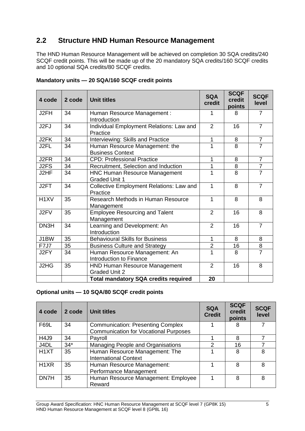## <span id="page-6-0"></span>**2.2 Structure HND Human Resource Management**

The HND Human Resource Management will be achieved on completion 30 SQA credits/240 SCQF credit points. This will be made up of the 20 mandatory SQA credits/160 SCQF credits and 10 optional SQA credits/80 SCQF credits.

| 4 code            | 2 code | <b>Unit titles</b>                                           | <b>SQA</b><br>credit | <b>SCQF</b><br>credit<br>points | <b>SCQF</b><br>level |
|-------------------|--------|--------------------------------------------------------------|----------------------|---------------------------------|----------------------|
| J2FH              | 34     | Human Resource Management :<br>Introduction                  |                      | 8                               | $\overline{7}$       |
| J <sub>2FJ</sub>  | 34     | Individual Employment Relations: Law and<br>Practice         | $\overline{2}$       | 16                              | $\overline{7}$       |
| J2FK              | 34     | Interviewing: Skills and Practice                            | 1                    | 8                               | $\overline{7}$       |
| J2FL              | 34     | Human Resource Management: the<br><b>Business Context</b>    | 1                    | 8                               | $\overline{7}$       |
| J2FR              | 34     | <b>CPD: Professional Practice</b>                            | 1                    | 8                               | $\overline{7}$       |
| J2FS              | 34     | Recruitment, Selection and Induction                         | 1                    | 8                               | $\overline{7}$       |
| J2HF              | 34     | <b>HNC Human Resource Management</b><br><b>Graded Unit 1</b> |                      | $\overline{8}$                  | $\overline{7}$       |
| J2FT              | 34     | Collective Employment Relations: Law and<br>Practice         | 1                    | 8                               | $\overline{7}$       |
| H <sub>1</sub> XV | 35     | Research Methods in Human Resource<br>Management             | 1                    | 8                               | 8                    |
| J2FV              | 35     | <b>Employee Resourcing and Talent</b><br>Management          | $\overline{2}$       | 16                              | 8                    |
| DN3H              | 34     | Learning and Development: An<br>Introduction                 | $\overline{2}$       | 16                              | $\overline{7}$       |
| J1BW              | 35     | <b>Behavioural Skills for Business</b>                       | 1                    | 8                               | 8                    |
| <b>F7J7</b>       | 35     | <b>Business Culture and Strategy</b>                         | $\overline{2}$       | 16                              | 8                    |
| J2FY              | 34     | Human Resource Management: An<br>Introduction to Finance     |                      | 8                               | $\overline{7}$       |
| J2HG              | 35     | <b>HND Human Resource Management</b><br><b>Graded Unit 2</b> | $\overline{2}$       | 16                              | 8                    |
|                   |        | <b>Total mandatory SQA credits required</b>                  | 20                   |                                 |                      |

### **Mandatory units — 20 SQA/160 SCQF credit points**

### **Optional units — 10 SQA/80 SCQF credit points**

| 4 code            | 2 code | <b>Unit titles</b>                                                                       | <b>SQA</b><br><b>Credit</b> | <b>SCQF</b><br>credit<br>points | <b>SCQF</b><br>level |
|-------------------|--------|------------------------------------------------------------------------------------------|-----------------------------|---------------------------------|----------------------|
| <b>F69L</b>       | 34     | <b>Communication: Presenting Complex</b><br><b>Communication for Vocational Purposes</b> |                             | 8                               |                      |
| H4J9              | 34     | Payroll                                                                                  |                             | 8                               |                      |
| J4DL              | $34*$  | Managing People and Organisations                                                        | 2                           | 16                              |                      |
| H <sub>1</sub> XT | 35     | Human Resource Management: The<br><b>International Context</b>                           |                             | 8                               | 8                    |
| H <sub>1</sub> XR | 35     | Human Resource Management:<br>Performance Management                                     |                             | 8                               | 8                    |
| DN7H              | 35     | Human Resource Management: Employee<br>Reward                                            |                             | 8                               | 8                    |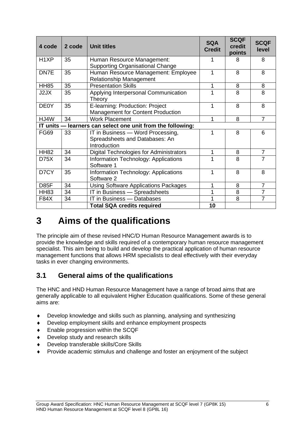| 4 code            | 2 code | <b>Unit titles</b>                                                                  | <b>SQA</b><br><b>Credit</b> | <b>SCQF</b><br>credit<br>points | <b>SCQF</b><br>level |
|-------------------|--------|-------------------------------------------------------------------------------------|-----------------------------|---------------------------------|----------------------|
| H <sub>1</sub> XP | 35     | Human Resource Management:<br><b>Supporting Organisational Change</b>               |                             | 8                               | 8                    |
| DN7E              | 35     | Human Resource Management: Employee<br><b>Relationship Management</b>               |                             | 8                               | 8                    |
| <b>HH85</b>       | 35     | <b>Presentation Skills</b>                                                          | 1                           | 8                               | 8                    |
| J2JX              | 35     | Applying Interpersonal Communication<br>Theory                                      |                             | 8                               | 8                    |
| <b>DE0Y</b>       | 35     | E-learning: Production: Project<br>Management for Content Production                |                             | 8                               | 8                    |
| HJ4W              | 34     | <b>Work Placement</b>                                                               | 1                           | 8                               | $\overline{7}$       |
|                   |        | IT units - learners can select one unit from the following:                         |                             |                                 |                      |
| <b>FG69</b>       | 33     | IT in Business - Word Processing,<br>Spreadsheets and Databases: An<br>Introduction | 1                           | 8                               | 6                    |
| <b>HH82</b>       | 34     | <b>Digital Technologies for Administrators</b>                                      | 1                           | 8                               | $\overline{7}$       |
| D75X              | 34     | Information Technology: Applications<br>Software 1                                  |                             | 8                               | 7                    |
| D7CY              | 35     | Information Technology: Applications<br>Software 2                                  | 1                           | 8                               | 8                    |
| <b>D85F</b>       | 34     | <b>Using Software Applications Packages</b>                                         | 1                           | 8                               | $\overline{7}$       |
| <b>HH83</b>       | 34     | IT in Business - Spreadsheets                                                       |                             | 8                               | $\overline{7}$       |
| <b>F84X</b>       | 34     | IT in Business - Databases                                                          |                             | 8                               | $\overline{7}$       |
|                   |        | <b>Total SQA credits required</b>                                                   | 10                          |                                 |                      |

# <span id="page-7-0"></span>**3 Aims of the qualifications**

The principle aim of these revised HNC/D Human Resource Management awards is to provide the knowledge and skills required of a contemporary human resource management specialist. This aim being to build and develop the practical application of human resource management functions that allows HRM specialists to deal effectively with their everyday tasks in ever changing environments.

## <span id="page-7-1"></span>**3.1 General aims of the qualifications**

The HNC and HND Human Resource Management have a range of broad aims that are generally applicable to all equivalent Higher Education qualifications. Some of these general aims are:

- Develop knowledge and skills such as planning, analysing and synthesizing
- Develop employment skills and enhance employment prospects
- ◆ Enable progression within the SCQF
- ◆ Develop study and research skills
- Develop transferable skills/Core Skills
- Provide academic stimulus and challenge and foster an enjoyment of the subject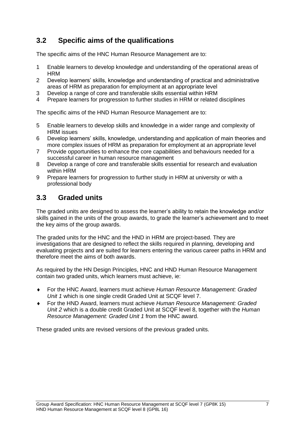## <span id="page-8-0"></span>**3.2 Specific aims of the qualifications**

The specific aims of the HNC Human Resource Management are to:

- 1 Enable learners to develop knowledge and understanding of the operational areas of **HRM**
- 2 Develop learners' skills, knowledge and understanding of practical and administrative areas of HRM as preparation for employment at an appropriate level
- 3 Develop a range of core and transferable skills essential within HRM
- 4 Prepare learners for progression to further studies in HRM or related disciplines

The specific aims of the HND Human Resource Management are to:

- 5 Enable learners to develop skills and knowledge in a wider range and complexity of HRM issues
- 6 Develop learners' skills, knowledge, understanding and application of main theories and more complex issues of HRM as preparation for employment at an appropriate level
- 7 Provide opportunities to enhance the core capabilities and behaviours needed for a successful career in human resource management
- 8 Develop a range of core and transferable skills essential for research and evaluation within HRM
- 9 Prepare learners for progression to further study in HRM at university or with a professional body

### <span id="page-8-1"></span>**3.3 Graded units**

The graded units are designed to assess the learner's ability to retain the knowledge and/or skills gained in the units of the group awards, to grade the learner's achievement and to meet the key aims of the group awards.

The graded units for the HNC and the HND in HRM are project-based. They are investigations that are designed to reflect the skills required in planning, developing and evaluating projects and are suited for learners entering the various career paths in HRM and therefore meet the aims of both awards.

As required by the HN Design Principles, HNC and HND Human Resource Management contain two graded units, which learners must achieve, ie:

- For the HNC Award, learners must achieve *Human Resource Management: Graded Unit 1* which is one single credit Graded Unit at SCQF level 7.
- For the HND Award, learners must achieve *Human Resource Management: Graded Unit 2* which is a double credit Graded Unit at SCQF level 8, together with the *Human Resource Management: Graded Unit 1* from the HNC award.

These graded units are revised versions of the previous graded units.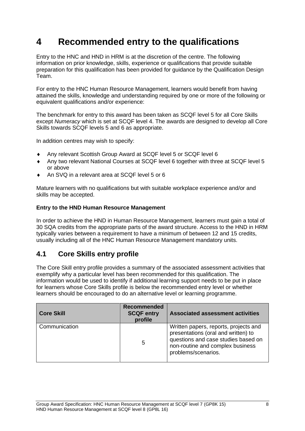# <span id="page-9-0"></span>**4 Recommended entry to the qualifications**

Entry to the HNC and HND in HRM is at the discretion of the centre. The following information on prior knowledge, skills, experience or qualifications that provide suitable preparation for this qualification has been provided for guidance by the Qualification Design Team.

For entry to the HNC Human Resource Management, learners would benefit from having attained the skills, knowledge and understanding required by one or more of the following or equivalent qualifications and/or experience:

The benchmark for entry to this award has been taken as SCQF level 5 for all Core Skills except *Numeracy* which is set at SCQF level 4. The awards are designed to develop all Core Skills towards SCQF levels 5 and 6 as appropriate.

In addition centres may wish to specify:

- Any relevant Scottish Group Award at SCQF level 5 or SCQF level 6
- Any two relevant National Courses at SCQF level 6 together with three at SCQF level 5 or above
- An SVQ in a relevant area at SCQF level 5 or 6

Mature learners with no qualifications but with suitable workplace experience and/or and skills may be accepted.

### **Entry to the HND Human Resource Management**

In order to achieve the HND in Human Resource Management, learners must gain a total of 30 SQA credits from the appropriate parts of the award structure. Access to the HND in HRM typically varies between a requirement to have a minimum of between 12 and 15 credits, usually including all of the HNC Human Resource Management mandatory units.

## <span id="page-9-1"></span>**4.1 Core Skills entry profile**

The Core Skill entry profile provides a summary of the associated assessment activities that exemplify why a particular level has been recommended for this qualification. The information would be used to identify if additional learning support needs to be put in place for learners whose Core Skills profile is below the recommended entry level or whether learners should be encouraged to do an alternative level or learning programme.

| <b>Core Skill</b> | <b>Recommended</b><br><b>SCQF entry</b><br>profile | <b>Associated assessment activities</b>                                                                                                                                        |
|-------------------|----------------------------------------------------|--------------------------------------------------------------------------------------------------------------------------------------------------------------------------------|
| Communication     | 5                                                  | Written papers, reports, projects and<br>presentations (oral and written) to<br>questions and case studies based on<br>non-routine and complex business<br>problems/scenarios. |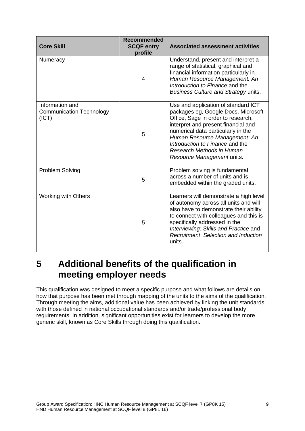| <b>Core Skill</b>                                           | <b>Recommended</b><br><b>SCQF entry</b><br>profile | <b>Associated assessment activities</b>                                                                                                                                                                                                                                                                                      |
|-------------------------------------------------------------|----------------------------------------------------|------------------------------------------------------------------------------------------------------------------------------------------------------------------------------------------------------------------------------------------------------------------------------------------------------------------------------|
| Numeracy                                                    | 4                                                  | Understand, present and interpret a<br>range of statistical, graphical and<br>financial information particularly in<br>Human Resource Management: An<br>Introduction to Finance and the<br>Business Culture and Strategy units.                                                                                              |
| Information and<br><b>Communication Technology</b><br>(ICT) | 5                                                  | Use and application of standard ICT<br>packages eg, Google Docs, Microsoft<br>Office, Sage in order to research,<br>interpret and present financial and<br>numerical data particularly in the<br>Human Resource Management: An<br>Introduction to Finance and the<br>Research Methods in Human<br>Resource Management units. |
| Problem Solving                                             | 5                                                  | Problem solving is fundamental<br>across a number of units and is<br>embedded within the graded units.                                                                                                                                                                                                                       |
| <b>Working with Others</b>                                  | 5                                                  | Learners will demonstrate a high level<br>of autonomy across all units and will<br>also have to demonstrate their ability<br>to connect with colleagues and this is<br>specifically addressed in the<br>Interviewing: Skills and Practice and<br>Recruitment, Selection and Induction<br>units.                              |

# <span id="page-10-0"></span>**5 Additional benefits of the qualification in meeting employer needs**

This qualification was designed to meet a specific purpose and what follows are details on how that purpose has been met through mapping of the units to the aims of the qualification. Through meeting the aims, additional value has been achieved by linking the unit standards with those defined in national occupational standards and/or trade/professional body requirements. In addition, significant opportunities exist for learners to develop the more generic skill, known as Core Skills through doing this qualification.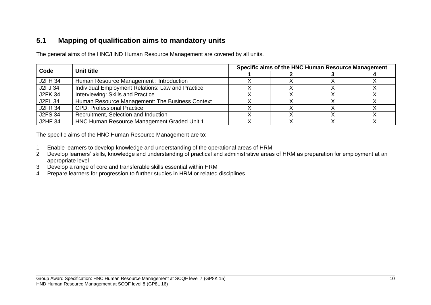## **5.1 Mapping of qualification aims to mandatory units**

The general aims of the HNC/HND Human Resource Management are covered by all units.

| Code           | Unit title                                        | Specific aims of the HNC Human Resource Management |  |  |  |  |  |
|----------------|---------------------------------------------------|----------------------------------------------------|--|--|--|--|--|
|                |                                                   |                                                    |  |  |  |  |  |
| <b>J2FH 34</b> | Human Resource Management: Introduction           |                                                    |  |  |  |  |  |
| J2FJ 34        | Individual Employment Relations: Law and Practice |                                                    |  |  |  |  |  |
| <b>J2FK 34</b> | Interviewing: Skills and Practice                 |                                                    |  |  |  |  |  |
| <b>J2FL 34</b> | Human Resource Management: The Business Context   |                                                    |  |  |  |  |  |
| <b>J2FR 34</b> | <b>CPD: Professional Practice</b>                 |                                                    |  |  |  |  |  |
| <b>J2FS 34</b> | Recruitment, Selection and Induction              |                                                    |  |  |  |  |  |
| <b>J2HF 34</b> | HNC Human Resource Management Graded Unit 1       |                                                    |  |  |  |  |  |

The specific aims of the HNC Human Resource Management are to:

- 1 Enable learners to develop knowledge and understanding of the operational areas of HRM
- 2 Develop learners' skills, knowledge and understanding of practical and administrative areas of HRM as preparation for employment at an appropriate level
- <span id="page-11-0"></span>3 Develop a range of core and transferable skills essential within HRM
- 4 Prepare learners for progression to further studies in HRM or related disciplines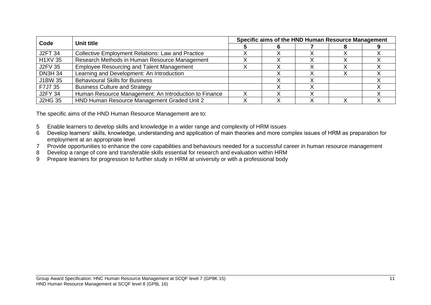| Code           | Unit title                                               |  | Specific aims of the HND Human Resource Management |  |  |  |  |  |
|----------------|----------------------------------------------------------|--|----------------------------------------------------|--|--|--|--|--|
|                |                                                          |  |                                                    |  |  |  |  |  |
| <b>J2FT 34</b> | <b>Collective Employment Relations: Law and Practice</b> |  |                                                    |  |  |  |  |  |
| <b>H1XV 35</b> | Research Methods in Human Resource Management            |  |                                                    |  |  |  |  |  |
| <b>J2FV 35</b> | <b>Employee Resourcing and Talent Management</b>         |  |                                                    |  |  |  |  |  |
| <b>DN3H 34</b> | Learning and Development: An Introduction                |  |                                                    |  |  |  |  |  |
| J1BW 35        | <b>Behavioural Skills for Business</b>                   |  |                                                    |  |  |  |  |  |
| F7J7 35        | <b>Business Culture and Strategy</b>                     |  |                                                    |  |  |  |  |  |
| <b>J2FY 34</b> | Human Resource Management: An Introduction to Finance    |  |                                                    |  |  |  |  |  |
| <b>J2HG 35</b> | HND Human Resource Management Graded Unit 2              |  |                                                    |  |  |  |  |  |

The specific aims of the HND Human Resource Management are to:

- 5 Enable learners to develop skills and knowledge in a wider range and complexity of HRM issues
- 6 Develop learners' skills, knowledge, understanding and application of main theories and more complex issues of HRM as preparation for employment at an appropriate level
- 7 Provide opportunities to enhance the core capabilities and behaviours needed for a successful career in human resource management
- 8 Develop a range of core and transferable skills essential for research and evaluation within HRM
- 9 Prepare learners for progression to further study in HRM at university or with a professional body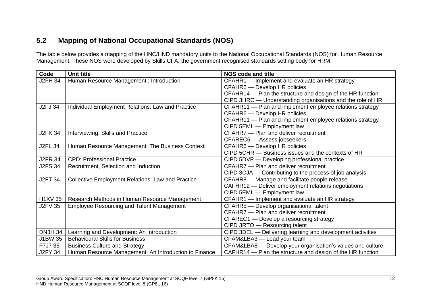## **5.2 Mapping of National Occupational Standards (NOS)**

The table below provides a mapping of the HNC/HND mandatory units to the National Occupational Standards (NOS) for Human Resource Management. These NOS were developed by Skills CFA, the government recognised standards setting body for HRM.

<span id="page-13-0"></span>

| Code           | <b>Unit title</b>                                        | <b>NOS code and title</b>                                  |
|----------------|----------------------------------------------------------|------------------------------------------------------------|
| <b>J2FH 34</b> | Human Resource Management : Introduction                 | CFAHR1 - Implement and evaluate an HR strategy             |
|                |                                                          | CFAHR6 - Develop HR policies                               |
|                |                                                          | CFAHR14 - Plan the structure and design of the HR function |
|                |                                                          | CIPD 3HRC - Understanding organisations and the role of HR |
| J2FJ 34        | Individual Employment Relations: Law and Practice        | CFAHR11 - Plan and implement employee relations strategy   |
|                |                                                          | CFAHR6 - Develop HR policies                               |
|                |                                                          | CFAHR11 - Plan and implement employee relations strategy   |
|                |                                                          | CIPD 5EML - Employment law                                 |
| <b>J2FK 34</b> | Interviewing: Skills and Practice                        | CFAHR7 - Plan and deliver recruitment                      |
|                |                                                          | CFAREC6 - Assess jobseekers                                |
| <b>J2FL 34</b> | Human Resource Management: The Business Context          | CFAHR6 - Develop HR policies                               |
|                |                                                          | CIPD 5CHR - Business issues and the contexts of HR         |
| <b>J2FR 34</b> | <b>CPD: Professional Practice</b>                        | CIPD 5DVP — Developing professional practice               |
| <b>J2FS 34</b> | Recruitment, Selection and Induction                     | CFAHR7 - Plan and deliver recruitment                      |
|                |                                                          | CIPD 3CJA - Contributing to the process of job analysis    |
| <b>J2FT 34</b> | <b>Collective Employment Relations: Law and Practice</b> | CFAHR8 - Manage and facilitate people release              |
|                |                                                          | CAFHR12 - Deliver employment relations negotiations        |
|                |                                                          | CIPD 5EML - Employment law                                 |
| <b>H1XV 35</b> | Research Methods in Human Resource Management            | CFAHR1 - Implement and evaluate an HR strategy             |
| <b>J2FV 35</b> | <b>Employee Resourcing and Talent Management</b>         | CFAHR5 - Develop organisational talent                     |
|                |                                                          | CFAHR7 - Plan and deliver recruitment                      |
|                |                                                          | CFAREC1 — Develop a resourcing strategy                    |
|                |                                                          | CIPD 3RTO - Resourcing talent                              |
| <b>DN3H 34</b> | Learning and Development: An Introduction                | CIPD 3DEL - Delivering learning and development activities |
| J1BW 35        | <b>Behavioural Skills for Business</b>                   | CFAM&LBA3 - Lead your team                                 |
| F7J7 35        | <b>Business Culture and Strategy</b>                     | CFAM&LBA8 - Develop your organisation's values and culture |
| <b>J2FY 34</b> | Human Resource Management: An Introduction to Finance    | CAFHR14 - Plan the structure and design of the HR function |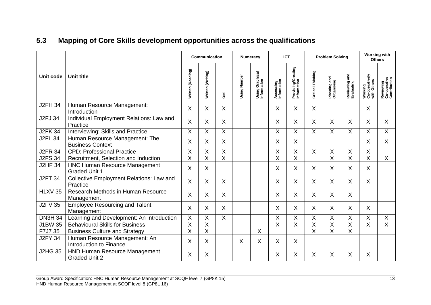# **5.3 Mapping of Core Skills development opportunities across the qualifications**

<span id="page-14-0"></span>

|                |                                                              |                         | Communication           |                | <b>Numeracy</b> |                                | <b>ICT</b>               |                                   | <b>Problem Solving</b>    |                            | <b>Working with</b><br><b>Others</b>  |                                          |                                           |
|----------------|--------------------------------------------------------------|-------------------------|-------------------------|----------------|-----------------|--------------------------------|--------------------------|-----------------------------------|---------------------------|----------------------------|---------------------------------------|------------------------------------------|-------------------------------------------|
| Unit code      | <b>Unit title</b>                                            | Written (Reading)       | Written (Writing)       | <b>Dral</b>    | Using Number    | Using Graphical<br>Information | Accessing<br>Information | Providing/Creating<br>Information | Critical Thinking         | Planning and<br>Organising | <u>ត្ត</u><br>Reviewing<br>Evaluating | Working<br>Co-operatively<br>with Others | Reviewing<br>Co-operative<br>Contribution |
| <b>J2FH 34</b> | Human Resource Management:<br>Introduction                   | X                       | X                       | X.             |                 |                                | X                        | X                                 | X                         |                            |                                       | X.                                       |                                           |
| <b>J2FJ 34</b> | Individual Employment Relations: Law and<br>Practice         | X                       | X                       | X.             |                 |                                | X                        | X                                 | X                         | X                          | X.                                    | $\mathsf{X}$                             | $\sf X$                                   |
| <b>J2FK 34</b> | Interviewing: Skills and Practice                            | X                       | X                       | X              |                 |                                | X                        | X                                 | X                         | X                          | X.                                    | X                                        | X                                         |
| <b>J2FL 34</b> | Human Resource Management: The<br><b>Business Context</b>    | Χ                       | X                       | X              |                 |                                | Χ                        | X                                 |                           |                            |                                       | X                                        | X                                         |
| <b>J2FR 34</b> | <b>CPD: Professional Practice</b>                            | X                       | X                       | $\overline{X}$ |                 |                                | X                        | X                                 | $\boldsymbol{\mathsf{X}}$ | X                          | X                                     | X                                        |                                           |
| <b>J2FS 34</b> | Recruitment, Selection and Induction                         | $\overline{X}$          | X                       | $\overline{X}$ |                 |                                | X                        | X                                 |                           | X                          | X                                     | Χ                                        | X                                         |
| <b>J2HF 34</b> | <b>HNC Human Resource Management</b><br><b>Graded Unit 1</b> | X                       | $\sf X$                 |                |                 |                                | X                        | X                                 | X                         | X                          | X.                                    | $\mathsf{X}$                             |                                           |
| <b>J2FT 34</b> | Collective Employment Relations: Law and<br>Practice         | X                       | X                       | X              |                 |                                | X                        | X                                 | X                         | $\mathsf{X}$               | X.                                    | X                                        |                                           |
| <b>H1XV 35</b> | Research Methods in Human Resource<br>Management             | X                       | X                       | $\mathsf{X}$   |                 |                                | X                        | X                                 | $\sf X$                   | $\sf X$                    | X.                                    |                                          |                                           |
| <b>J2FV 35</b> | <b>Employee Resourcing and Talent</b><br>Management          | X                       | X                       | X              |                 |                                | Χ                        | X                                 | X                         | X                          | Χ                                     | X                                        |                                           |
| <b>DN3H 34</b> | Learning and Development: An Introduction                    | $\pmb{\times}$          | X                       | $\mathsf{X}$   |                 |                                | $\sf X$                  | Χ                                 | Χ                         | X                          | Χ                                     | Χ                                        | X                                         |
| J1BW 35        | <b>Behavioural Skills for Business</b>                       | $\overline{\mathsf{x}}$ | $\overline{\mathsf{x}}$ |                |                 |                                | $\overline{\mathsf{x}}$  | $\overline{\mathsf{X}}$           | $\overline{\mathsf{x}}$   | $\overline{\mathsf{X}}$    | X                                     | $\overline{\mathsf{X}}$                  | $\overline{\mathsf{X}}$                   |
| F7J7 35        | <b>Business Culture and Strategy</b>                         | $\overline{\mathsf{x}}$ | $\overline{X}$          |                |                 | $\boldsymbol{\mathsf{X}}$      |                          |                                   | $\overline{\mathsf{x}}$   | $\overline{\mathsf{x}}$    | X                                     |                                          |                                           |
| <b>J2FY 34</b> | Human Resource Management: An<br>Introduction to Finance     | X                       | X                       |                | $\sf X$         | X                              | Χ                        | X                                 |                           |                            |                                       |                                          |                                           |
| <b>J2HG 35</b> | <b>HND Human Resource Management</b><br><b>Graded Unit 2</b> | X                       | X                       |                |                 |                                | Χ                        | Χ                                 | X                         | Χ                          | Χ                                     | X                                        |                                           |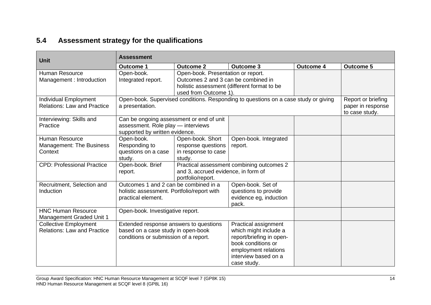# **5.4 Assessment strategy for the qualifications**

<span id="page-15-0"></span>

| <b>Unit</b>                                                                               | <b>Assessment</b>                                                                                                     |                                                                                                    |                                                                                                                                                                |                  |                  |  |  |
|-------------------------------------------------------------------------------------------|-----------------------------------------------------------------------------------------------------------------------|----------------------------------------------------------------------------------------------------|----------------------------------------------------------------------------------------------------------------------------------------------------------------|------------------|------------------|--|--|
|                                                                                           | <b>Outcome 1</b>                                                                                                      | <b>Outcome 2</b>                                                                                   | <b>Outcome 3</b>                                                                                                                                               | <b>Outcome 4</b> | <b>Outcome 5</b> |  |  |
| <b>Human Resource</b><br>Management : Introduction                                        | Open-book.<br>Integrated report.                                                                                      | Open-book. Presentation or report.<br>Outcomes 2 and 3 can be combined in<br>used from Outcome 1). | holistic assessment (different format to be                                                                                                                    |                  |                  |  |  |
| Individual Employment<br><b>Relations: Law and Practice</b>                               | Open-book. Supervised conditions. Responding to questions on a case study or giving<br>a presentation.                |                                                                                                    | Report or briefing<br>paper in response<br>to case study.                                                                                                      |                  |                  |  |  |
| Interviewing: Skills and<br>Practice                                                      | Can be ongoing assessment or end of unit<br>assessment. Role play - interviews<br>supported by written evidence.      |                                                                                                    |                                                                                                                                                                |                  |                  |  |  |
| <b>Human Resource</b><br><b>Management: The Business</b><br>Context                       | Open-book.<br>Responding to<br>questions on a case<br>study.                                                          | Open-book. Short<br>response questions<br>in response to case<br>study.                            | Open-book. Integrated<br>report.                                                                                                                               |                  |                  |  |  |
| <b>CPD: Professional Practice</b>                                                         | Open-book. Brief<br>report.                                                                                           | and 3, accrued evidence, in form of<br>portfolio/report.                                           | Practical assessment combining outcomes 2                                                                                                                      |                  |                  |  |  |
| Recruitment, Selection and<br>Induction                                                   | Outcomes 1 and 2 can be combined in a<br>holistic assessment. Portfolio/report with<br>practical element.             |                                                                                                    | Open-book. Set of<br>questions to provide<br>evidence eg, induction<br>pack.                                                                                   |                  |                  |  |  |
| <b>HNC Human Resource</b><br>Open-book. Investigative report.<br>Management Graded Unit 1 |                                                                                                                       |                                                                                                    |                                                                                                                                                                |                  |                  |  |  |
| <b>Collective Employment</b><br><b>Relations: Law and Practice</b>                        | Extended response answers to questions<br>based on a case study in open-book<br>conditions or submission of a report. |                                                                                                    | Practical assignment<br>which might include a<br>report/briefing in open-<br>book conditions or<br>employment relations<br>interview based on a<br>case study. |                  |                  |  |  |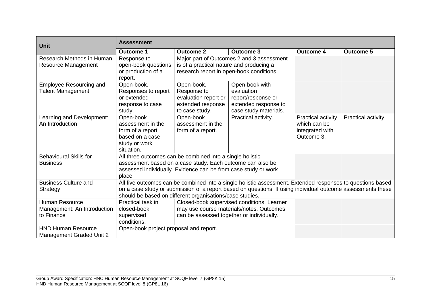| <b>Unit</b>                    | <b>Assessment</b>                                                                                           |                                                                                                            |                                            |                    |                     |  |  |  |
|--------------------------------|-------------------------------------------------------------------------------------------------------------|------------------------------------------------------------------------------------------------------------|--------------------------------------------|--------------------|---------------------|--|--|--|
|                                | <b>Outcome 1</b>                                                                                            | <b>Outcome 2</b>                                                                                           | <b>Outcome 3</b>                           | <b>Outcome 4</b>   | <b>Outcome 5</b>    |  |  |  |
| Research Methods in Human      | Response to                                                                                                 |                                                                                                            | Major part of Outcomes 2 and 3 assessment  |                    |                     |  |  |  |
| <b>Resource Management</b>     | open-book questions                                                                                         | is of a practical nature and producing a                                                                   |                                            |                    |                     |  |  |  |
|                                | or production of a<br>report.                                                                               | research report in open-book conditions.                                                                   |                                            |                    |                     |  |  |  |
| <b>Employee Resourcing and</b> | Open-book.                                                                                                  | Open-book.                                                                                                 | Open-book with                             |                    |                     |  |  |  |
| <b>Talent Management</b>       | Responses to report                                                                                         | Response to                                                                                                | evaluation                                 |                    |                     |  |  |  |
|                                | or extended                                                                                                 | evaluation report or                                                                                       | report/response or                         |                    |                     |  |  |  |
|                                | response to case                                                                                            | extended response                                                                                          | extended response to                       |                    |                     |  |  |  |
|                                | study.                                                                                                      | to case study.                                                                                             | case study materials.                      |                    |                     |  |  |  |
| Learning and Development:      | Open-book                                                                                                   | Open-book                                                                                                  | Practical activity.                        | Practical activity | Practical activity. |  |  |  |
| An Introduction                | assessment in the                                                                                           | assessment in the                                                                                          |                                            | which can be       |                     |  |  |  |
|                                | form of a report                                                                                            | form of a report.                                                                                          |                                            | integrated with    |                     |  |  |  |
|                                | based on a case                                                                                             |                                                                                                            |                                            | Outcome 3.         |                     |  |  |  |
|                                | study or work                                                                                               |                                                                                                            |                                            |                    |                     |  |  |  |
|                                | situation.                                                                                                  |                                                                                                            |                                            |                    |                     |  |  |  |
| <b>Behavioural Skills for</b>  | All three outcomes can be combined into a single holistic                                                   |                                                                                                            |                                            |                    |                     |  |  |  |
| <b>Business</b>                | assessment based on a case study. Each outcome can also be                                                  |                                                                                                            |                                            |                    |                     |  |  |  |
|                                |                                                                                                             | assessed individually. Evidence can be from case study or work                                             |                                            |                    |                     |  |  |  |
| place.                         |                                                                                                             |                                                                                                            |                                            |                    |                     |  |  |  |
| <b>Business Culture and</b>    |                                                                                                             | All five outcomes can be combined into a single holistic assessment. Extended responses to questions based |                                            |                    |                     |  |  |  |
| Strategy                       | on a case study or submission of a report based on questions. If using individual outcome assessments these |                                                                                                            |                                            |                    |                     |  |  |  |
|                                |                                                                                                             | should be based on different organisations/case studies.                                                   |                                            |                    |                     |  |  |  |
| <b>Human Resource</b>          | Practical task in                                                                                           |                                                                                                            | Closed-book supervised conditions. Learner |                    |                     |  |  |  |
| Management: An Introduction    | closed-book                                                                                                 |                                                                                                            | may use course materials/notes. Outcomes   |                    |                     |  |  |  |
| to Finance                     | supervised                                                                                                  | can be assessed together or individually.                                                                  |                                            |                    |                     |  |  |  |
|                                | conditions.                                                                                                 |                                                                                                            |                                            |                    |                     |  |  |  |
| <b>HND Human Resource</b>      | Open-book project proposal and report.                                                                      |                                                                                                            |                                            |                    |                     |  |  |  |
| Management Graded Unit 2       |                                                                                                             |                                                                                                            |                                            |                    |                     |  |  |  |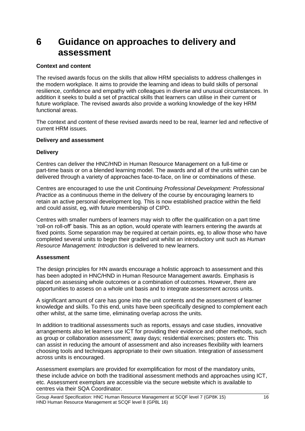# <span id="page-17-0"></span>**6 Guidance on approaches to delivery and assessment**

#### **Context and content**

The revised awards focus on the skills that allow HRM specialists to address challenges in the modern workplace. It aims to provide the learning and ideas to build skills of personal resilience, confidence and empathy with colleagues in diverse and unusual circumstances. In addition it seeks to build a set of practical skills that learners can utilise in their current or future workplace. The revised awards also provide a working knowledge of the key HRM functional areas.

The context and content of these revised awards need to be real, learner led and reflective of current HRM issues.

#### **Delivery and assessment**

#### **Delivery**

Centres can deliver the HNC/HND in Human Resource Management on a full-time or part-time basis or on a blended learning model. The awards and all of the units within can be delivered through a variety of approaches face-to-face, on line or combinations of these.

Centres are encouraged to use the unit *Continuing Professional Development: Professional Practice* as a continuous theme in the delivery of the course by encouraging learners to retain an active personal development log. This is now established practice within the field and could assist, eg, with future membership of CIPD.

Centres with smaller numbers of learners may wish to offer the qualification on a part time 'roll-on roll-off' basis. This as an option, would operate with learners entering the awards at fixed points. Some separation may be required at certain points, eg, to allow those who have completed several units to begin their graded unit whilst an introductory unit such as *Human Resource Management: Introduction* is delivered to new learners.

### **Assessment**

The design principles for HN awards encourage a holistic approach to assessment and this has been adopted in HNC/HND in Human Resource Management awards. Emphasis is placed on assessing whole outcomes or a combination of outcomes. However, there are opportunities to assess on a whole unit basis and to integrate assessment across units.

A significant amount of care has gone into the unit contents and the assessment of learner knowledge and skills. To this end, units have been specifically designed to complement each other whilst, at the same time, eliminating overlap across the units.

In addition to traditional assessments such as reports, essays and case studies, innovative arrangements also let learners use ICT for providing their evidence and other methods, such as group or collaboration assessment; away days; residential exercises; posters etc. This can assist in reducing the amount of assessment and also increases flexibility with learners choosing tools and techniques appropriate to their own situation. Integration of assessment across units is encouraged.

Assessment exemplars are provided for exemplification for most of the mandatory units, these include advice on both the traditional assessment methods and approaches using ICT, etc. Assessment exemplars are accessible via the secure website which is available to centres via their SQA Coordinator.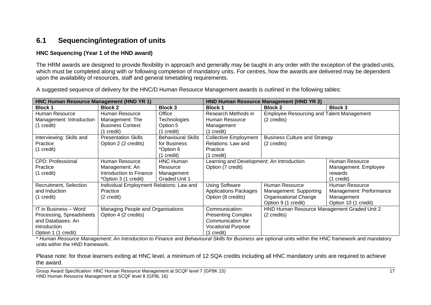## **6.1 Sequencing/integration of units**

#### **HNC Sequencing (Year 1 of the HND award)**

The HRM awards are designed to provide flexibility in approach and generally may be taught in any order with the exception of the graded units, which must be completed along with or following completion of mandatory units. For centres, how the awards are delivered may be dependent upon the availability of resources, staff and general timetabling requirements.

<span id="page-18-0"></span>**HNC Human Resource Management (HND YR 1) HND Human Resource Management (HND YR 2) Block 1 Block 2 Block 3 Block 1 Block 2 Block 3** Human Resource Management: Introduction (1 credit) Human Resource Management: The Business Context (1 credit) **Office Technologies** Option 5 (1 credit) Research Methods in Human Resource Management (1 credit) Employee Resourcing and Talent Management (2 credits) Interviewing: Skills and **Practice** (1 credit) Presentation Skills Option 2 (2 credits) Behavioural Skills for Business \*Option 6 (1 credit) Collective Employment Relations: Law and **Practice** (1 credit) Business Culture and Strategy (2 credits) CPD: Professional Practice (1 credit) Human Resource Management: An Introduction to Finance \*Option 3 (1 credit) HNC Human Resource Management Graded Unit 1 Learning and Development: An Introduction Option (7 credit) Human Resource Management: Employee rewards (1 credit) Recruitment, Selection and Induction (1 credit) Individual Employment Relations: Law and **Practice** (2 credit) Using Software Applications Packages Option (8 credits) Human Resource Management: Supporting Organisational Change Option 9 (1 credit) Human Resource Management: Performance Management Option 10 (1 credit) IT in Business – Word Processing, Spreadsheets and Databases: An introduction Option 1 (1 credit) Managing People and Organisations Option 4 (2 credits) Communication: Presenting Complex Communication for Vocational Purpose (1 credit) HND Human Resource Management Graded Unit 2 (2 credits)

A suggested sequence of delivery for the HNC/D Human Resource Management awards is outlined in the following tables:

\* *Human Resource Management: An Introduction to Finance* and *Behavioural Skills for Business* are optional units within the HNC framework and mandatory units within the HND framework.

Please note: for those learners exiting at HNC level, a minimum of 12 SQA credits including all HNC mandatory units are required to achieve the award.

Group Award Specification: HNC Human Resource Management at SCQF level 7 (GP8K 15) 17 HND Human Resource Management at SCQF level 8 (GP8L 16)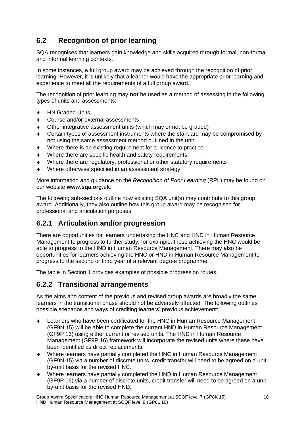# <span id="page-19-0"></span>**6.2 Recognition of prior learning**

SQA recognises that learners gain knowledge and skills acquired through formal, non-formal and informal learning contexts.

In some instances, a full group award may be achieved through the recognition of prior learning. However, it is unlikely that a learner would have the appropriate prior learning and experience to meet all the requirements of a full group award.

The recognition of prior learning may **not** be used as a method of assessing in the following types of units and assessments:

- ◆ HN Graded Units
- Course and/or external assessments
- Other integrative assessment units (which may or not be graded)
- Certain types of assessment instruments where the standard may be compromised by not using the same assessment method outlined in the unit
- Where there is an existing requirement for a licence to practice
- Where there are specific health and safety requirements
- Where there are regulatory, professional or other statutory requirements
- Where otherwise specified in an assessment strategy

More information and guidance on the *Recognition of Prior Learning* (RPL) may be found on our website **[www.sqa.org.uk](http://www.sqa.org.uk/)**.

The following sub-sections outline how existing SQA unit(s) may contribute to this group award. Additionally, they also outline how this group award may be recognised for professional and articulation purposes.

### <span id="page-19-1"></span>**6.2.1 Articulation and/or progression**

There are opportunities for learners undertaking the HNC and HND in Human Resource Management to progress to further study, for example, those achieving the HNC would be able to progress to the HND in Human Resource Management. There may also be opportunities for learners achieving the HNC or HND in Human Resource Management to progress to the second or third year of a relevant degree programme.

The table in Section 1 provides examples of possible progression routes.

### <span id="page-19-2"></span>**6.2.2 Transitional arrangements**

As the aims and content of the previous and revised group awards are broadly the same, learners in the transitional phase should not be adversely affected. The following outlines possible scenarios and ways of crediting learners' previous achievement:

- Learners who have been certificated for the HNC in Human Resource Management (GF9N 15) will be able to complete the current HND in Human Resource Management (GF9P 16) using either current or revised units. The HND in Human Resource Management (GF9P 16) framework will incorporate the revised units where these have been identified as direct replacements.
- Where learners have partially completed the HNC in Human Resource Management (GF9N 15) via a number of discrete units, credit transfer will need to be agreed on a unitby-unit basis for the revised HNC.
- Where learners have partially completed the HND in Human Resource Management (GF9P 16) via a number of discrete units, credit transfer will need to be agreed on a unitby-unit basis for the revised HND.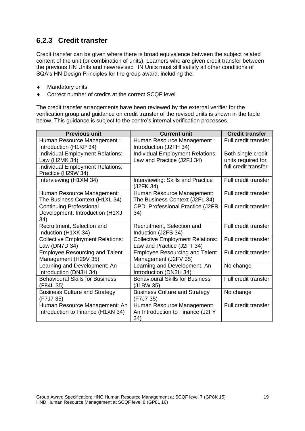## <span id="page-20-0"></span>**6.2.3 Credit transfer**

Credit transfer can be given where there is broad equivalence between the subject related content of the unit (or combination of units). Learners who are given credit transfer between the previous HN Units and new/revised HN Units must still satisfy all other conditions of SQA's HN Design Principles for the group award, including the:

- ◆ Mandatory units
- ◆ Correct number of credits at the correct SCQF level

The credit transfer arrangements have been reviewed by the external verifier for the verification group and guidance on credit transfer of the revised units is shown in the table below. This guidance is subject to the centre's internal verification processes.

| <b>Previous unit</b>                                                     | <b>Current unit</b>                                                   | <b>Credit transfer</b>                   |
|--------------------------------------------------------------------------|-----------------------------------------------------------------------|------------------------------------------|
| Human Resource Management:<br>Introduction (H1KP 34)                     | Human Resource Management:<br>Introduction (J2FH 34)                  | Full credit transfer                     |
| <b>Individual Employment Relations:</b><br>Law (H2MK 34)                 | <b>Individual Employment Relations:</b><br>Law and Practice (J2FJ 34) | Both single credit<br>units required for |
| <b>Individual Employment Relations:</b><br>Practice (H29W 34)            |                                                                       | full credit transfer                     |
| Interviewing (H1XM 34)                                                   | Interviewing: Skills and Practice<br>(J2FK 34)                        | Full credit transfer                     |
| Human Resource Management:<br>The Business Context (H1XL 34)             | Human Resource Management:<br>The Business Context (J2FL 34)          | Full credit transfer                     |
| <b>Continuing Professional</b><br>Development: Introduction (H1XJ<br>34) | CPD: Professional Practice (J2FR<br>34)                               | Full credit transfer                     |
| Recruitment, Selection and<br>Induction (H1XK 34)                        | Recruitment, Selection and<br>Induction (J2FS 34)                     | Full credit transfer                     |
| <b>Collective Employment Relations:</b><br>Law (DN7D 34)                 | <b>Collective Employment Relations:</b><br>Law and Practice (J2FT 34) | Full credit transfer                     |
| <b>Employee Resourcing and Talent</b><br>Management (H29V 35)            | <b>Employee Resourcing and Talent</b><br>Management (J2FV 35)         | Full credit transfer                     |
| Learning and Development: An<br>Introduction (DN3H 34)                   | Learning and Development: An<br>Introduction (DN3H 34)                | No change                                |
| <b>Behavioural Skills for Business</b><br>(F84L 35)                      | <b>Behavioural Skills for Business</b><br>(J1BW 35)                   | Full credit transfer                     |
| <b>Business Culture and Strategy</b><br>(F7J7 35)                        | <b>Business Culture and Strategy</b><br>(F7J7 35)                     | No change                                |
| Human Resource Management: An<br>Introduction to Finance (H1XN 34)       | Human Resource Management:<br>An Introduction to Finance (J2FY<br>34) | Full credit transfer                     |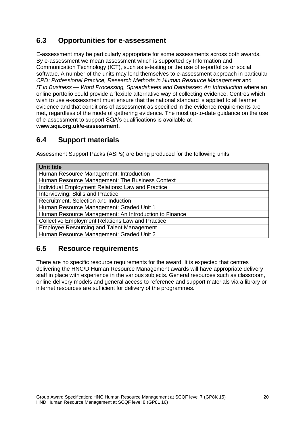## <span id="page-21-0"></span>**6.3 Opportunities for e-assessment**

E-assessment may be particularly appropriate for some assessments across both awards. By e-assessment we mean assessment which is supported by Information and Communication Technology (ICT), such as e-testing or the use of e-portfolios or social software. A number of the units may lend themselves to e-assessment approach in particular *CPD: Professional Practice, Research Methods in Human Resource Management* and *IT in Business — Word Processing, Spreadsheets and Databases: An Introduction* where an online portfolio could provide a flexible alternative way of collecting evidence. Centres which wish to use e-assessment must ensure that the national standard is applied to all learner evidence and that conditions of assessment as specified in the evidence requirements are met, regardless of the mode of gathering evidence. The most up-to-date guidance on the use of e-assessment to support SQA's qualifications is available at **www.sqa.org.uk/e-assessment**.

## <span id="page-21-1"></span>**6.4 Support materials**

Assessment Support Packs (ASPs) are being produced for the following units.

| Unit title                                              |
|---------------------------------------------------------|
| Human Resource Management: Introduction                 |
| Human Resource Management: The Business Context         |
| Individual Employment Relations: Law and Practice       |
| Interviewing: Skills and Practice                       |
| Recruitment, Selection and Induction                    |
| Human Resource Management: Graded Unit 1                |
| Human Resource Management: An Introduction to Finance   |
| <b>Collective Employment Relations Law and Practice</b> |
| <b>Employee Resourcing and Talent Management</b>        |
| Human Resource Management: Graded Unit 2                |

## <span id="page-21-2"></span>**6.5 Resource requirements**

There are no specific resource requirements for the award. It is expected that centres delivering the HNC/D Human Resource Management awards will have appropriate delivery staff in place with experience in the various subjects. General resources such as classroom, online delivery models and general access to reference and support materials via a library or internet resources are sufficient for delivery of the programmes.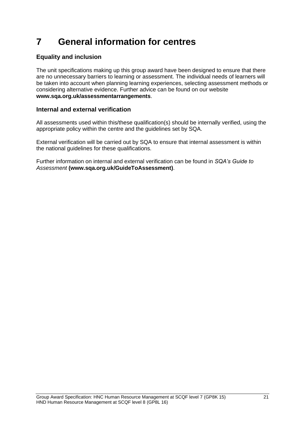# <span id="page-22-0"></span>**7 General information for centres**

### **Equality and inclusion**

The unit specifications making up this group award have been designed to ensure that there are no unnecessary barriers to learning or assessment. The individual needs of learners will be taken into account when planning learning experiences, selecting assessment methods or considering alternative evidence. Further advice can be found on our website **[www.sqa.org.uk/assessmentarrangements](http://www.sqa.org.uk/sqa/14977.html)**.

### **Internal and external verification**

All assessments used within this/these qualification(s) should be internally verified, using the appropriate policy within the centre and the guidelines set by SQA.

External verification will be carried out by SQA to ensure that internal assessment is within the national guidelines for these qualifications.

Further information on internal and external verification can be found in *SQA's Guide to Assessment* **[\(www.sqa.org.uk/GuideToAssessment\)](http://www.sqa.org.uk/sqa/files_ccc/GuideToAssessment.pdf)**.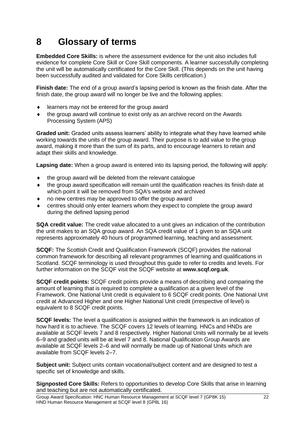# <span id="page-23-0"></span>**8 Glossary of terms**

**Embedded Core Skills:** is where the assessment evidence for the unit also includes full evidence for complete Core Skill or Core Skill components. A learner successfully completing the unit will be automatically certificated for the Core Skill. (This depends on the unit having been successfully audited and validated for Core Skills certification.)

**Finish date:** The end of a group award's lapsing period is known as the finish date. After the finish date, the group award will no longer be live and the following applies:

- learners may not be entered for the group award
- the group award will continue to exist only as an archive record on the Awards Processing System (APS)

**Graded unit:** Graded units assess learners' ability to integrate what they have learned while working towards the units of the group award. Their purpose is to add value to the group award, making it more than the sum of its parts, and to encourage learners to retain and adapt their skills and knowledge.

**Lapsing date:** When a group award is entered into its lapsing period, the following will apply:

- the group award will be deleted from the relevant catalogue
- the group award specification will remain until the qualification reaches its finish date at which point it will be removed from SQA's website and archived
- no new centres may be approved to offer the group award
- centres should only enter learners whom they expect to complete the group award during the defined lapsing period

**SQA credit value:** The credit value allocated to a unit gives an indication of the contribution the unit makes to an SQA group award. An SQA credit value of 1 given to an SQA unit represents approximately 40 hours of programmed learning, teaching and assessment.

**SCQF:** The Scottish Credit and Qualification Framework (SCQF) provides the national common framework for describing all relevant programmes of learning and qualifications in Scotland. SCQF terminology is used throughout this guide to refer to credits and levels. For further information on the SCQF visit the SCQF website at **[www.scqf.org.uk](http://www.scqf.org.uk/)**.

**SCQF credit points:** SCQF credit points provide a means of describing and comparing the amount of learning that is required to complete a qualification at a given level of the Framework. One National Unit credit is equivalent to 6 SCQF credit points. One National Unit credit at Advanced Higher and one Higher National Unit credit (irrespective of level) is equivalent to 8 SCQF credit points.

**SCQF levels:** The level a qualification is assigned within the framework is an indication of how hard it is to achieve. The SCQF covers 12 levels of learning. HNCs and HNDs are available at SCQF levels 7 and 8 respectively. Higher National Units will normally be at levels 6–9 and graded units will be at level 7 and 8. National Qualification Group Awards are available at SCQF levels 2–6 and will normally be made up of National Units which are available from SCQF levels 2–7.

**Subject unit:** Subject units contain vocational/subject content and are designed to test a specific set of knowledge and skills.

**Signposted Core Skills:** Refers to opportunities to develop Core Skills that arise in learning and teaching but are not automatically certificated.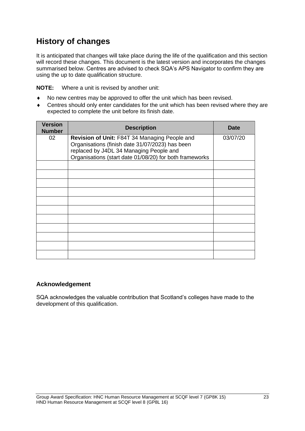# **History of changes**

It is anticipated that changes will take place during the life of the qualification and this section will record these changes. This document is the latest version and incorporates the changes summarised below. Centres are advised to check SQA's APS Navigator to confirm they are using the up to date qualification structure.

**NOTE:** Where a unit is revised by another unit:

- No new centres may be approved to offer the unit which has been revised.
- Centres should only enter candidates for the unit which has been revised where they are expected to complete the unit before its finish date.

| <b>Version</b><br><b>Number</b> | <b>Description</b>                                                                                                                                                                                     | <b>Date</b> |
|---------------------------------|--------------------------------------------------------------------------------------------------------------------------------------------------------------------------------------------------------|-------------|
| 02                              | Revision of Unit: F84T 34 Managing People and<br>Organisations (finish date 31/07/2023) has been<br>replaced by J4DL 34 Managing People and<br>Organisations (start date 01/08/20) for both frameworks | 03/07/20    |
|                                 |                                                                                                                                                                                                        |             |
|                                 |                                                                                                                                                                                                        |             |
|                                 |                                                                                                                                                                                                        |             |
|                                 |                                                                                                                                                                                                        |             |
|                                 |                                                                                                                                                                                                        |             |
|                                 |                                                                                                                                                                                                        |             |
|                                 |                                                                                                                                                                                                        |             |
|                                 |                                                                                                                                                                                                        |             |
|                                 |                                                                                                                                                                                                        |             |
|                                 |                                                                                                                                                                                                        |             |
|                                 |                                                                                                                                                                                                        |             |

### **Acknowledgement**

SQA acknowledges the valuable contribution that Scotland's colleges have made to the development of this qualification.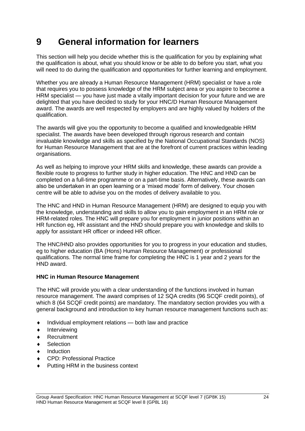# <span id="page-25-0"></span>**9 General information for learners**

This section will help you decide whether this is the qualification for you by explaining what the qualification is about, what you should know or be able to do before you start, what you will need to do during the qualification and opportunities for further learning and employment.

Whether you are already a Human Resource Management (HRM) specialist or have a role that requires you to possess knowledge of the HRM subject area or you aspire to become a HRM specialist — you have just made a vitally important decision for your future and we are delighted that you have decided to study for your HNC/D Human Resource Management award. The awards are well respected by employers and are highly valued by holders of the qualification.

The awards will give you the opportunity to become a qualified and knowledgeable HRM specialist. The awards have been developed through rigorous research and contain invaluable knowledge and skills as specified by the National Occupational Standards (NOS) for Human Resource Management that are at the forefront of current practices within leading organisations.

As well as helping to improve your HRM skills and knowledge, these awards can provide a flexible route to progress to further study in higher education. The HNC and HND can be completed on a full-time programme or on a part-time basis. Alternatively, these awards can also be undertaken in an open learning or a 'mixed mode' form of delivery. Your chosen centre will be able to advise you on the modes of delivery available to you.

The HNC and HND in Human Resource Management (HRM) are designed to equip you with the knowledge, understanding and skills to allow you to gain employment in an HRM role or HRM-related roles. The HNC will prepare you for employment in junior positions within an HR function eg, HR assistant and the HND should prepare you with knowledge and skills to apply for assistant HR officer or indeed HR officer.

The HNC/HND also provides opportunities for you to progress in your education and studies, eg to higher education (BA (Hons) Human Resource Management) or professional qualifications. The normal time frame for completing the HNC is 1 year and 2 years for the HND award.

### **HNC in Human Resource Management**

The HNC will provide you with a clear understanding of the functions involved in human resource management. The award comprises of 12 SQA credits (96 SCQF credit points), of which 8 (64 SCQF credit points) are mandatory. The mandatory section provides you with a general background and introduction to key human resource management functions such as:

- Individual employment relations both law and practice
- Interviewing
- ◆ Recruitment
- **Selection**
- Induction
- CPD: Professional Practice
- Putting HRM in the business context